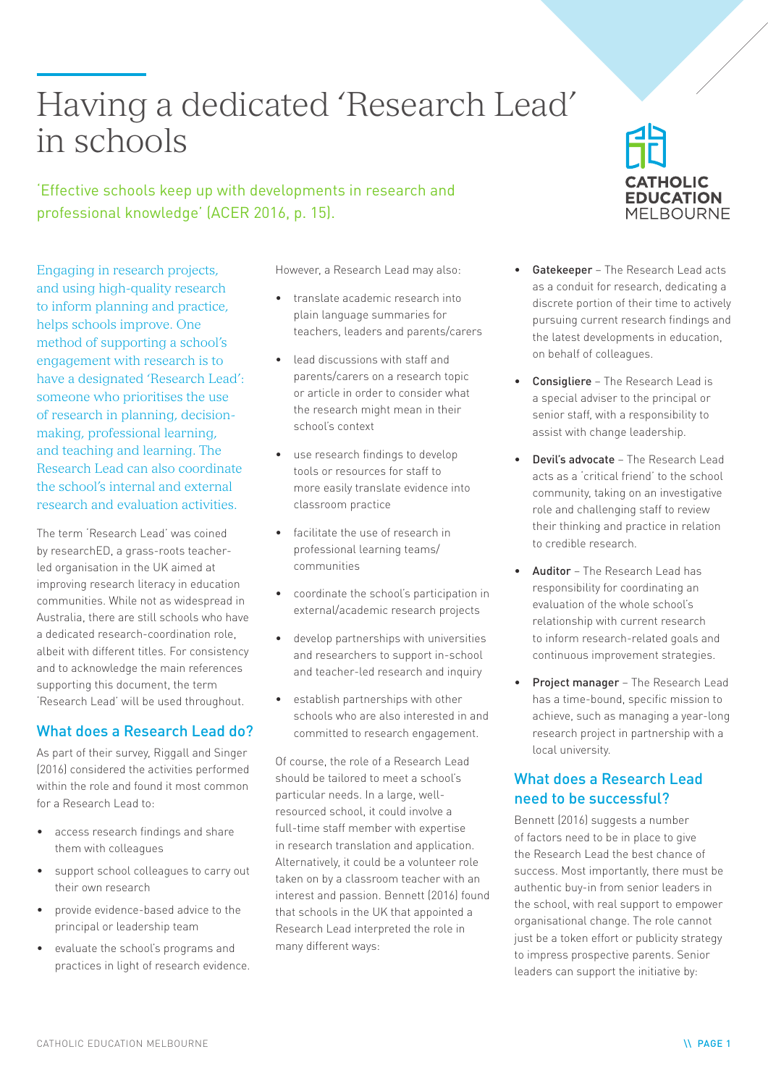# Having a dedicated 'Research Lead' in schools

'Effective schools keep up with developments in research and professional knowledge' (ACER 2016, p. 15).

Engaging in research projects, and using high-quality research to inform planning and practice, helps schools improve. One method of supporting a school's engagement with research is to have a designated 'Research Lead': someone who prioritises the use of research in planning, decisionmaking, professional learning, and teaching and learning. The Research Lead can also coordinate the school's internal and external research and evaluation activities.

The term 'Research Lead' was coined by researchED, a grass-roots teacherled organisation in the UK aimed at improving research literacy in education communities. While not as widespread in Australia, there are still schools who have a dedicated research-coordination role, albeit with different titles. For consistency and to acknowledge the main references supporting this document, the term 'Research Lead' will be used throughout.

# What does a Research Lead do?

As part of their survey, Riggall and Singer (2016) considered the activities performed within the role and found it most common for a Research Lead to:

- access research findings and share them with colleagues
- support school colleagues to carry out their own research
- provide evidence-based advice to the principal or leadership team
- evaluate the school's programs and practices in light of research evidence.

However, a Research Lead may also:

- translate academic research into plain language summaries for teachers, leaders and parents/carers
- lead discussions with staff and parents/carers on a research topic or article in order to consider what the research might mean in their school's context
- use research findings to develop tools or resources for staff to more easily translate evidence into classroom practice
- facilitate the use of research in professional learning teams/ communities
- coordinate the school's participation in external/academic research projects
- develop partnerships with universities and researchers to support in-school and teacher-led research and inquiry
- establish partnerships with other schools who are also interested in and committed to research engagement.

Of course, the role of a Research Lead should be tailored to meet a school's particular needs. In a large, wellresourced school, it could involve a full-time staff member with expertise in research translation and application. Alternatively, it could be a volunteer role taken on by a classroom teacher with an interest and passion. Bennett (2016) found that schools in the UK that appointed a Research Lead interpreted the role in many different ways:



- Gatekeeper The Research Lead acts as a conduit for research, dedicating a discrete portion of their time to actively pursuing current research findings and the latest developments in education, on behalf of colleagues.
- Consigliere The Research Lead is a special adviser to the principal or senior staff, with a responsibility to assist with change leadership.
- Devil's advocate The Research Lead acts as a 'critical friend' to the school community, taking on an investigative role and challenging staff to review their thinking and practice in relation to credible research.
- Auditor The Research Lead has responsibility for coordinating an evaluation of the whole school's relationship with current research to inform research-related goals and continuous improvement strategies.
- Project manager The Research Lead has a time-bound, specific mission to achieve, such as managing a year-long research project in partnership with a local university.

# What does a Research Lead need to be successful?

Bennett (2016) suggests a number of factors need to be in place to give the Research Lead the best chance of success. Most importantly, there must be authentic buy-in from senior leaders in the school, with real support to empower organisational change. The role cannot just be a token effort or publicity strategy to impress prospective parents. Senior leaders can support the initiative by: